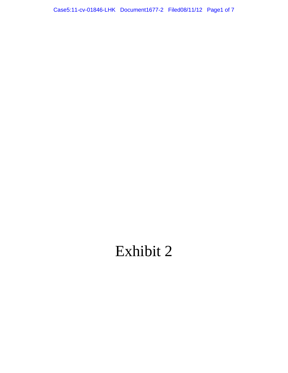Case5:11-cv-01846-LHK Document1677-2 Filed08/11/12 Page1 of 7

# Exhibit 2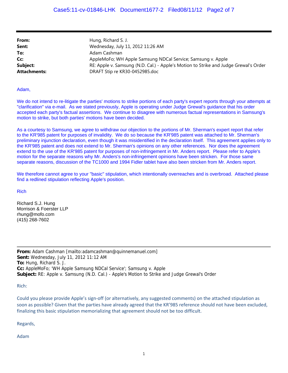| From:               | Hung, Richard S. J.                                                                  |
|---------------------|--------------------------------------------------------------------------------------|
| Sent:               | Wednesday, July 11, 2012 11:26 AM                                                    |
| To:                 | Adam Cashman                                                                         |
| Cc:                 | AppleMoFo; WH Apple Samsung NDCal Service; Samsung v. Apple                          |
| Subject:            | RE: Apple v. Samsung (N.D. Cal.) - Apple's Motion to Strike and Judge Grewal's Order |
| <b>Attachments:</b> | DRAFT Stip re KR30-0452985.doc                                                       |

#### Adam,

We do not intend to re-litigate the parties' motions to strike portions of each party's expert reports through your attempts at "clarification" via e-mail. As we stated previously, Apple is operating under Judge Grewal's guidance that his order accepted each party's factual assertions. We continue to disagree with numerous factual representations in Samsung's motion to strike, but both parties' motions have been decided.

As a courtesy to Samsung, we agree to withdraw our objection to the portions of Mr. Sherman's expert report that refer to the KR'985 patent for purposes of invalidity. We do so because the KR'985 patent was attached to Mr. Sherman's preliminary injunction declaration, even though it was misidentified in the declaration itself. This agreement applies only to the KR'985 patent and does not extend to Mr. Sherman's opinions on any other references. Nor does the agreement extend to the use of the KR'985 patent for purposes of non-infringement in Mr. Anders report. Please refer to Apple's motion for the separate reasons why Mr. Anders's non-infringement opinions have been stricken. For those same separate reasons, discussion of the TC1000 and 1994 Fidler tablet have also been stricken from Mr. Anders report.

We therefore cannot agree to your "basic" stipulation, which intentionally overreaches and is overbroad. Attached please find a redlined stipulation reflecting Apple's position.

#### Rich

Richard S.J. Hung Morrison & Foerster LLP rhung@mofo.com (415) 268-7602

**From:** Adam Cashman [mailto:adamcashman@quinnemanuel.com] **Sent:** Wednesday, July 11, 2012 11:12 AM **To:** Hung, Richard S. J. **Cc:** AppleMoFo; 'WH Apple Samsung NDCal Service'; Samsung v. Apple **Subject:** RE: Apple v. Samsung (N.D. Cal.) - Apple's Motion to Strike and Judge Grewal's Order

Rich:

Could you please provide Apple's sign‐off (or alternatively, any suggested comments) on the attached stipulation as soon as possible? Given that the parties have already agreed that the KR'985 reference should not have been excluded, finalizing this basic stipulation memorializing that agreement should not be too difficult.

Regards,

Adam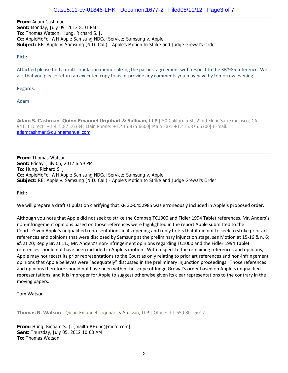**From:** Adam Cashman **Sent:** Monday, July 09, 2012 8:01 PM **To:** Thomas Watson; Hung, Richard S. J. **Cc:** AppleMoFo; WH Apple Samsung NDCal Service; Samsung v. Apple **Subject:** RE: Apple v. Samsung (N.D. Cal.) - Apple's Motion to Strike and Judge Grewal's Order

Rich:

Attached please find a draft stipulation memorializing the parties' agreement with respect to the KR'985 reference. We ask that you please return an executed copy to us or provide any comments you may have by tomorrow evening.

Regards,

Adam

**Adam S. Cashman**| **Quinn Emanuel Urquhart & Sullivan, LLP** | 50 California St, 22nd Floor San Francisco, CA 94111 Direct: +1.415.875.6384| Main Phone: +1.415.875.6600| Main Fax: +1.415.875.6700| E-mail: adamcashman@quinnemanuel.com

**From:** Thomas Watson **Sent:** Friday, July 06, 2012 6:59 PM **To:** Hung, Richard S. J. **Cc:** AppleMoFo; WH Apple Samsung NDCal Service; Samsung v. Apple **Subject:** RE: Apple v. Samsung (N.D. Cal.) - Apple's Motion to Strike and Judge Grewal's Order

Rich:

We will prepare a draft stipulation clarifying that KR 30-0452985 was erroneously included in Apple's proposed order.

Although you note that Apple did not seek to strike the Compaq TC1000 and Fidler 1994 Tablet references, Mr. Anders's non‐infringement opinions based on those references were highlighted in the report Apple submitted to the Court. Given Apple's unqualified representations in its opening and reply briefs that it did not to seek to strike prior art references and opinions that were disclosed by Samsung at the preliminary injunction stage, s*ee* Motion at 15‐16 & n. 6; *id.* at 20; Reply Br. at 11., Mr. Anders's non-infringement opinions regarding TC1000 and the Fidler 1994 Tablet references should not have been included in Apple's motion. With respect to the remaining references and opinions, Apple may not recast its prior representations to the Court as only relating to prior art references and non‐infringement opinions that Apple believes were "adequately" discussed in the preliminary injunction proceedings. Those references and opinions therefore should not have been within the scope of Judge Grewal's order based on Apple's unqualified representations, and it is improper for Apple to suggest otherwise given its clear representations to the contrary in the moving papers.

Tom Watson

**Thomas R. Watson** | Quinn Emanuel Urquhart & Sullivan, LLP | Office: +1.650.801.5017

**From:** Hung, Richard S. J. [mailto:RHung@mofo.com] **Sent:** Thursday, July 05, 2012 10:00 AM **To:** Thomas Watson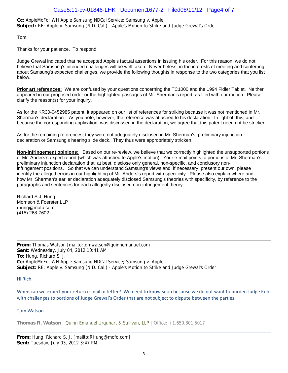**Cc:** AppleMoFo; WH Apple Samsung NDCal Service; Samsung v. Apple **Subject:** RE: Apple v. Samsung (N.D. Cal.) - Apple's Motion to Strike and Judge Grewal's Order

Tom,

Thanks for your patience. To respond:

Judge Grewal indicated that he accepted Apple's factual assertions in issuing his order. For this reason, we do not believe that Samsung's intended challenges will be well taken. Nevertheless, in the interests of meeting and conferring about Samsung's expected challenges, we provide the following thoughts in response to the two categories that you list below.

**Prior art references:** We are confused by your questions concerning the TC1000 and the 1994 Fidler Tablet. Neither appeared in our proposed order or the highlighted passages of Mr. Sherman's report, as filed with our motion. Please clarify the reason(s) for your inquiry.

As for the KR30-0452985 patent, it appeared on our list of references for striking because it was not mentioned in Mr. Sherman's declaration . As you note, however, the reference was attached to his declaration. In light of this, and because the corresponding application was discussed in the declaration, we agree that this patent need not be stricken.

As for the remaining references, they were not adequately disclosed in Mr. Sherman's preliminary injunction declaration or Samsung's hearing slide deck. They thus were appropriately stricken.

**Non-infringement opinions:** Based on our re-review, we believe that we correctly highlighted the unsupported portions of Mr. Anders's expert report (which was attached to Apple's motion). Your e-mail points to portions of Mr. Sherman's preliminary injunction declaration that, at best, disclose only general, non-specific, and conclusory noninfringement positions. So that we can understand Samsung's views and, if necessary, present our own, please identify the alleged errors in our highlighting of Mr. Anders's report with specificity. Please also explain where and how Mr. Sherman's earlier declaration adequately disclosed Samsung's theories with specificity, by reference to the paragraphs and sentences for each allegedly disclosed non-infringement theory.

Richard S.J. Hung Morrison & Foerster LLP rhung@mofo.com (415) 268-7602

**From:** Thomas Watson [mailto:tomwatson@quinnemanuel.com] **Sent:** Wednesday, July 04, 2012 10:41 AM **To:** Hung, Richard S. J. **Cc:** AppleMoFo; WH Apple Samsung NDCal Service; Samsung v. Apple **Subject:** RE: Apple v. Samsung (N.D. Cal.) - Apple's Motion to Strike and Judge Grewal's Order

Hi Rich,

When can we expect your return e-mail or letter? We need to know soon because we do not want to burden Judge Koh with challenges to portions of Judge Grewal's Order that are not subject to dispute between the parties.

## Tom Watson

**Thomas R. Watson** | Quinn Emanuel Urquhart & Sullivan, LLP | Office: +1.650.801.5017

**From:** Hung, Richard S. J. [mailto:RHung@mofo.com] **Sent:** Tuesday, July 03, 2012 3:47 PM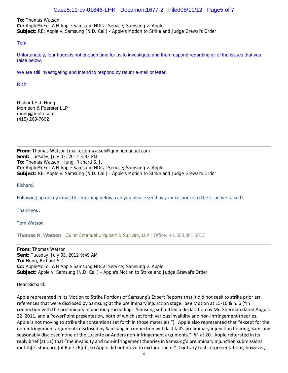## Case5:11-cv-01846-LHK Document1677-2 Filed08/11/12 Page5 of 7

**To:** Thomas Watson

**Cc:** AppleMoFo; WH Apple Samsung NDCal Service; Samsung v. Apple **Subject:** RE: Apple v. Samsung (N.D. Cal.) - Apple's Motion to Strike and Judge Grewal's Order

### Tom,

Unfortunately, four hours is not enough time for us to investigate and then respond regarding all of the issues that you raise below.

We are still investigating and intend to respond by return e-mail or letter.

Rich

Richard S.J. Hung Morrison & Foerster LLP rhung@mofo.com (415) 268-7602

**From:** Thomas Watson [mailto:tomwatson@quinnemanuel.com] **Sent:** Tuesday, July 03, 2012 3:33 PM **To:** Thomas Watson; Hung, Richard S. J. **Cc:** AppleMoFo; WH Apple Samsung NDCal Service; Samsung v. Apple **Subject:** RE: Apple v. Samsung (N.D. Cal.) - Apple's Motion to Strike and Judge Grewal's Order

Richard,

Following up on my email this morning below, can you please send us your response to the issue we raised?

Thank you,

Tom Watson

**Thomas R. Watson** | Quinn Emanuel Urquhart & Sullivan, LLP | Office: +1.650.801.5017

**From:** Thomas Watson **Sent:** Tuesday, July 03, 2012 9:49 AM **To:** Hung, Richard S. J. **Cc:** AppleMoFo; WH Apple Samsung NDCal Service; Samsung v. Apple **Subject:** Apple v. Samsung (N.D. Cal.) - Apple's Motion to Strike and Judge Grewal's Order

Dear Richard:

Apple represented in its Motion to Strike Portions of Samsung's Expert Reports that it did not seek to strike prior art references that were disclosed by Samsung at the preliminary injunction stage. *See* Motion at 15‐16 & n. 6 ("In connection with the preliminary injunction proceedings, Samsung submitted a declaration by Mr. Sherman dated August 22, 2011, and a PowerPoint presentation, both of which set forth various invalidity and non-infringement theories. Apple is not moving to strike the contentions set forth in those materials."). Apple also represented that "except for the non-infringement arguments disclosed by Samsung in connection with last fall's preliminary injunction hearing, Samsung seasonably disclosed none of the Lucente or Anders non-infringement arguments." *Id.* at 20. Apple reiterated in its reply brief (at 11) that "the invalidity and non-infringement theories in Samsung's preliminary injunction submissions met th[e] standard [of Rule 26(e)], so Apple did not move to exclude them." Contrary to its representations, however,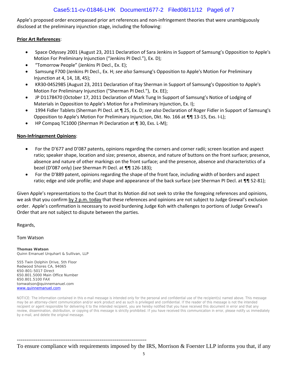# Case5:11-cv-01846-LHK Document1677-2 Filed08/11/12 Page6 of 7

Apple's proposed order encompassed prior art references and non-infringement theories that were unambiguously disclosed at the preliminary injunction stage, including the following:

## **Prior Art References**:

- Space Odyssey 2001 (August 23, 2011 Declaration of Sara Jenkins in Support of Samsung's Opposition to Apple's Motion For Preliminary Injunction ("Jenkins PI Decl."), Ex. D);
- "Tomorrow People" (Jenkins PI Decl., Ex. E);
- Samsung F700 (Jenkins PI Decl., Ex. H; *see also* Samsung's Opposition to Apple's Motion For Preliminary Injunction at 4, 14, 18, 45);
- KR30‐0452985 (August 23, 2011 Declaration of Itay Sherman in Support of Samsung's Opposition to Apple's Motion For Preliminary Injunction ("Sherman PI Decl."), Ex. EE);
- JP D1178470 (October 17, 2011 Declaration of Mark Tung In Support of Samsung's Notice of Lodging of Materials in Opposition to Apple's Motion for a Preliminary Injunction, Ex. I);
- 1994 Fidler Tablets (Sherman PI Decl. at ¶ 25, Ex. D; *see also* Declaration of Roger Fidler in Support of Samsung's Opposition to Apple's Motion For Preliminary Injunction, Dkt. No. 166 at ¶¶ 13‐15, Exs. I‐L);
- HP Compaq TC1000 (Sherman PI Declaration at ¶ 30, Exs. L-M);

## **Non‐Infringement Opinions**:

- For the D'677 and D'087 patents, opinions regarding the corners and corner radii; screen location and aspect ratio; speaker shape, location and size; presence, absence, and nature of buttons on the front surface; presence, absence and nature of other markings on the front surface; and the presence, absence and characteristics of a bezel (D'087 only) (*see* Sherman PI Decl. at ¶¶ 126‐183);
- For the D'889 patent, opinions regarding the shape of the front face, including width of borders and aspect ratio; edge and side profile; and shape and appearance of the back surface (*see* Sherman PI Decl. at ¶¶ 52‐81);

Given Apple's representations to the Court that its Motion did not seek to strike the foregoing references and opinions, we ask that you confirm by 2 p.m. today that these references and opinions are not subject to Judge Grewal's exclusion order. Apple's confirmation is necessary to avoid burdening Judge Koh with challenges to portions of Judge Grewal's Order that are not subject to dispute between the parties.

## Regards,

## Tom Watson

**Thomas Watson** Quinn Emanuel Urquhart & Sullivan, LLP

555 Twin Dolphin Drive, 5th Floor Redwood Shores CA, 94065 650-801-5017 Direct 650.801.5000 Main Office Number 650.801.5100 FAX tomwatson@quinnemanuel.com www.quinnemanuel.com

---------------------------------------------------------------------

NOTICE: The information contained in this e-mail message is intended only for the personal and confidential use of the recipient(s) named above. This message may be an attorney-client communication and/or work product and as such is privileged and confidential. If the reader of this message is not the intended recipient or agent responsible for delivering it to the intended recipient, you are hereby notified that you have received this document in error and that any review, dissemination, distribution, or copying of this message is strictly prohibited. If you have received this communication in error, please notify us immediately by e-mail, and delete the original message.

To ensure compliance with requirements imposed by the IRS, Morrison & Foerster LLP informs you that, if any